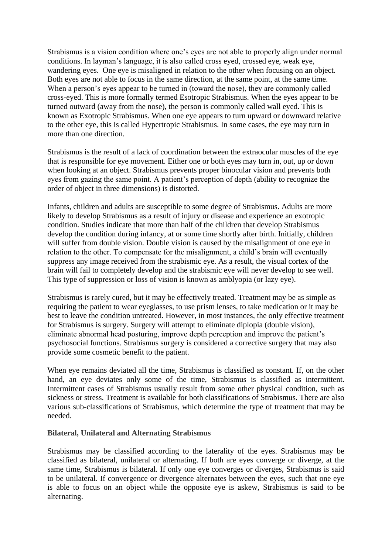Strabismus is a vision condition where one's eyes are not able to properly align under normal conditions. In layman's language, it is also called cross eyed, crossed eye, weak eye, wandering eyes. One eye is misaligned in relation to the other when focusing on an object. Both eyes are not able to focus in the same direction, at the same point, at the same time. When a person's eyes appear to be turned in (toward the nose), they are commonly called cross-eyed. This is more formally termed Esotropic Strabismus. When the eyes appear to be turned outward (away from the nose), the person is commonly called wall eyed. This is known as Exotropic Strabismus. When one eye appears to turn upward or downward relative to the other eye, this is called Hypertropic Strabismus. In some cases, the eye may turn in more than one direction.

Strabismus is the result of a lack of coordination between the extraocular muscles of the eye that is responsible for eye movement. Either one or both eyes may turn in, out, up or down when looking at an object. Strabismus prevents proper binocular vision and prevents both eyes from gazing the same point. A patient's perception of depth (ability to recognize the order of object in three dimensions) is distorted.

Infants, children and adults are susceptible to some degree of Strabismus. Adults are more likely to develop Strabismus as a result of injury or disease and experience an exotropic condition. Studies indicate that more than half of the children that develop Strabismus develop the condition during infancy, at or some time shortly after birth. Initially, children will suffer from double vision. Double vision is caused by the misalignment of one eye in relation to the other. To compensate for the misalignment, a child's brain will eventually suppress any image received from the strabismic eye. As a result, the visual cortex of the brain will fail to completely develop and the strabismic eye will never develop to see well. This type of suppression or loss of vision is known as amblyopia (or lazy eye).

Strabismus is rarely cured, but it may be effectively treated. Treatment may be as simple as requiring the patient to wear eyeglasses, to use prism lenses, to take medication or it may be best to leave the condition untreated. However, in most instances, the only effective treatment for Strabismus is surgery. Surgery will attempt to eliminate diplopia (double vision), eliminate abnormal head posturing, improve depth perception and improve the patient's psychosocial functions. Strabismus surgery is considered a corrective surgery that may also provide some cosmetic benefit to the patient.

When eye remains deviated all the time, Strabismus is classified as constant. If, on the other hand, an eye deviates only some of the time, Strabismus is classified as intermittent. Intermittent cases of Strabismus usually result from some other physical condition, such as sickness or stress. Treatment is available for both classifications of Strabismus. There are also various sub-classifications of Strabismus, which determine the type of treatment that may be needed.

## **Bilateral, Unilateral and Alternating Strabismus**

Strabismus may be classified according to the laterality of the eyes. Strabismus may be classified as bilateral, unilateral or alternating. If both are eyes converge or diverge, at the same time, Strabismus is bilateral. If only one eye converges or diverges, Strabismus is said to be unilateral. If convergence or divergence alternates between the eyes, such that one eye is able to focus on an object while the opposite eye is askew, Strabismus is said to be alternating.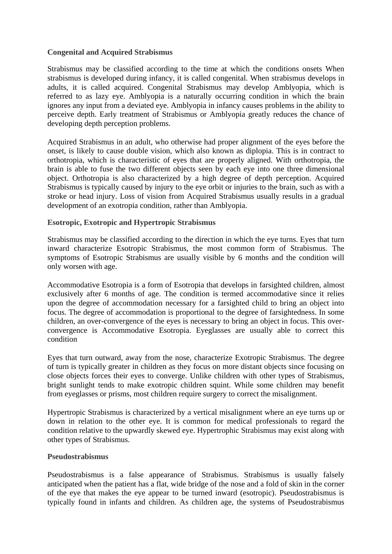## **Congenital and Acquired Strabismus**

Strabismus may be classified according to the time at which the conditions onsets When strabismus is developed during infancy, it is called congenital. When strabismus develops in adults, it is called acquired. Congenital Strabismus may develop Amblyopia, which is referred to as lazy eye. Amblyopia is a naturally occurring condition in which the brain ignores any input from a deviated eye. Amblyopia in infancy causes problems in the ability to perceive depth. Early treatment of Strabismus or Amblyopia greatly reduces the chance of developing depth perception problems.

Acquired Strabismus in an adult, who otherwise had proper alignment of the eyes before the onset, is likely to cause double vision, which also known as diplopia. This is in contract to orthotropia, which is characteristic of eyes that are properly aligned. With orthotropia, the brain is able to fuse the two different objects seen by each eye into one three dimensional object. Orthotropia is also characterized by a high degree of depth perception. Acquired Strabismus is typically caused by injury to the eye orbit or injuries to the brain, such as with a stroke or head injury. Loss of vision from Acquired Strabismus usually results in a gradual development of an exotropia condition, rather than Amblyopia.

## **Esotropic, Exotropic and Hypertropic Strabismus**

Strabismus may be classified according to the direction in which the eye turns. Eyes that turn inward characterize Esotropic Strabismus, the most common form of Strabismus. The symptoms of Esotropic Strabismus are usually visible by 6 months and the condition will only worsen with age.

Accommodative Esotropia is a form of Esotropia that develops in farsighted children, almost exclusively after 6 months of age. The condition is termed accommodative since it relies upon the degree of accommodation necessary for a farsighted child to bring an object into focus. The degree of accommodation is proportional to the degree of farsightedness. In some children, an over-convergence of the eyes is necessary to bring an object in focus. This overconvergence is Accommodative Esotropia. Eyeglasses are usually able to correct this condition

Eyes that turn outward, away from the nose, characterize Exotropic Strabismus. The degree of turn is typically greater in children as they focus on more distant objects since focusing on close objects forces their eyes to converge. Unlike children with other types of Strabismus, bright sunlight tends to make exotropic children squint. While some children may benefit from eyeglasses or prisms, most children require surgery to correct the misalignment.

Hypertropic Strabismus is characterized by a vertical misalignment where an eye turns up or down in relation to the other eye. It is common for medical professionals to regard the condition relative to the upwardly skewed eye. Hypertrophic Strabismus may exist along with other types of Strabismus.

## **Pseudostrabismus**

Pseudostrabismus is a false appearance of Strabismus. Strabismus is usually falsely anticipated when the patient has a flat, wide bridge of the nose and a fold of skin in the corner of the eye that makes the eye appear to be turned inward (esotropic). Pseudostrabismus is typically found in infants and children. As children age, the systems of Pseudostrabismus